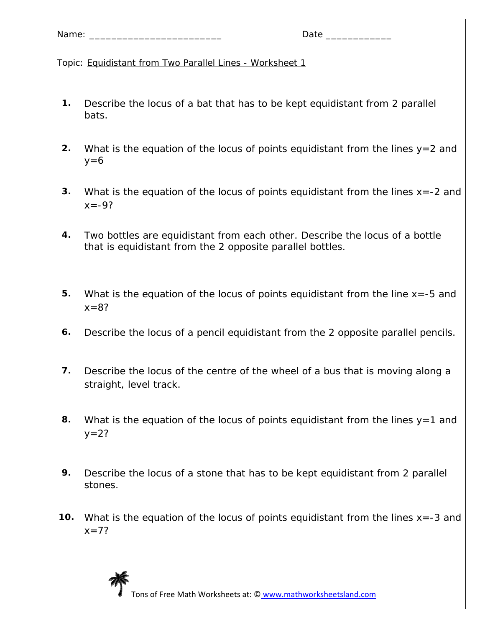| Name: |  |
|-------|--|
|-------|--|

- **1.** Describe the locus of a bat that has to be kept equidistant from 2 parallel bats.
- **2.** What is the equation of the locus of points equidistant from the lines y=2 and  $y=6$
- **3.** What is the equation of the locus of points equidistant from the lines x=-2 and  $x = -9?$
- **4.** Two bottles are equidistant from each other. Describe the locus of a bottle that is equidistant from the 2 opposite parallel bottles.
- **5.** What is the equation of the locus of points equidistant from the line x=-5 and  $x = 8?$
- **6.** Describe the locus of a pencil equidistant from the 2 opposite parallel pencils.
- **7.** Describe the locus of the centre of the wheel of a bus that is moving along a straight, level track.
- **8.** What is the equation of the locus of points equidistant from the lines y=1 and  $y=2?$
- **9.** Describe the locus of a stone that has to be kept equidistant from 2 parallel stones.
- **10.** What is the equation of the locus of points equidistant from the lines x=-3 and  $x=7?$

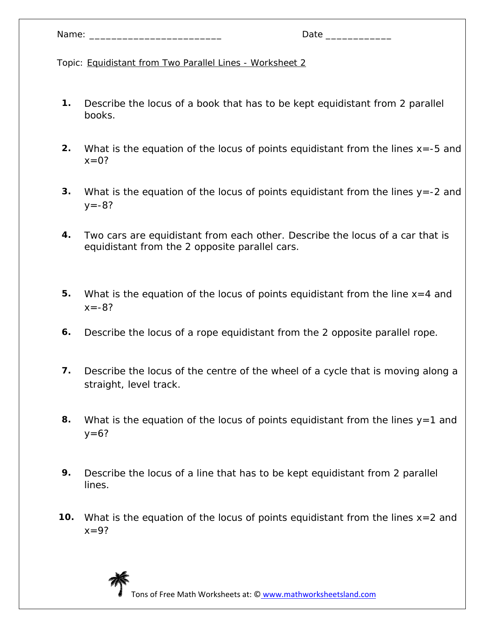| Name: |  |
|-------|--|
|-------|--|

- **1.** Describe the locus of a book that has to be kept equidistant from 2 parallel books.
- **2.** What is the equation of the locus of points equidistant from the lines x=-5 and  $x=0$ ?
- **3.** What is the equation of the locus of points equidistant from the lines y=-2 and  $y = -8?$
- **4.** Two cars are equidistant from each other. Describe the locus of a car that is equidistant from the 2 opposite parallel cars.
- **5.** What is the equation of the locus of points equidistant from the line x=4 and  $x = -8?$
- **6.** Describe the locus of a rope equidistant from the 2 opposite parallel rope.
- **7.** Describe the locus of the centre of the wheel of a cycle that is moving along a straight, level track.
- **8.** What is the equation of the locus of points equidistant from the lines y=1 and  $y=6?$
- **9.** Describe the locus of a line that has to be kept equidistant from 2 parallel lines.
- **10.** What is the equation of the locus of points equidistant from the lines x=2 and  $x=9?$

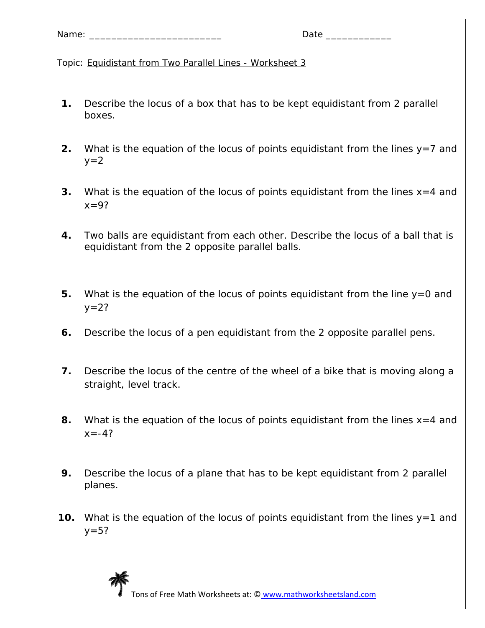| Name: |  |
|-------|--|
|-------|--|

- **1.** Describe the locus of a box that has to be kept equidistant from 2 parallel boxes.
- **2.** What is the equation of the locus of points equidistant from the lines y=7 and  $y=2$
- **3.** What is the equation of the locus of points equidistant from the lines x=4 and  $x=9?$
- **4.** Two balls are equidistant from each other. Describe the locus of a ball that is equidistant from the 2 opposite parallel balls.
- **5.** What is the equation of the locus of points equidistant from the line y=0 and  $y = 2?$
- **6.** Describe the locus of a pen equidistant from the 2 opposite parallel pens.
- **7.** Describe the locus of the centre of the wheel of a bike that is moving along a straight, level track.
- **8.** What is the equation of the locus of points equidistant from the lines x=4 and  $x = -4?$
- **9.** Describe the locus of a plane that has to be kept equidistant from 2 parallel planes.
- **10.** What is the equation of the locus of points equidistant from the lines y=1 and  $y=5?$

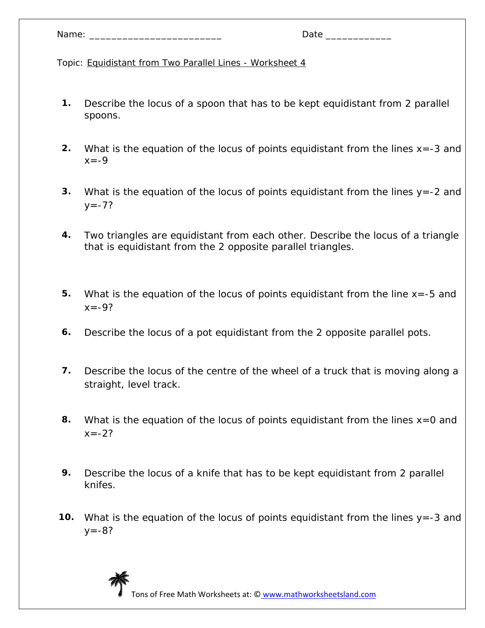| Name: |  |
|-------|--|
|-------|--|

- **1.** Describe the locus of a spoon that has to be kept equidistant from 2 parallel spoons.
- **2.** What is the equation of the locus of points equidistant from the lines x=-3 and  $x = -9$
- **3.** What is the equation of the locus of points equidistant from the lines y=-2 and  $y = -7?$
- **4.** Two triangles are equidistant from each other. Describe the locus of a triangle that is equidistant from the 2 opposite parallel triangles.
- **5.** What is the equation of the locus of points equidistant from the line x=-5 and  $x = -9?$
- **6.** Describe the locus of a pot equidistant from the 2 opposite parallel pots.
- **7.** Describe the locus of the centre of the wheel of a truck that is moving along a straight, level track.
- **8.** What is the equation of the locus of points equidistant from the lines x=0 and  $x = -22$
- **9.** Describe the locus of a knife that has to be kept equidistant from 2 parallel knifes.
- **10.** What is the equation of the locus of points equidistant from the lines y=-3 and  $y = -8?$